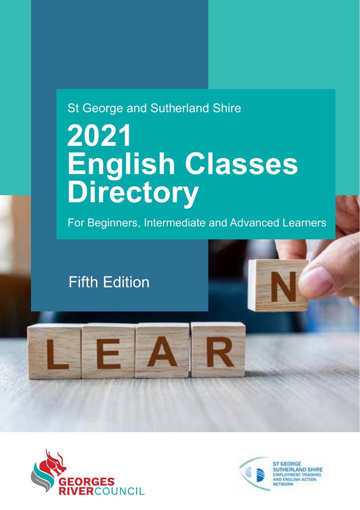### St George and Sutherland Shire

# **2021 English Classes Directory**

For Beginners, Intermediate and Advanced Learners

### Fifth Edition





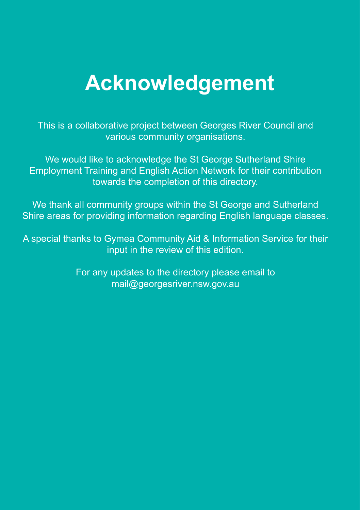# **Acknowledgement**

This is a collaborative project between Georges River Council and various community organisations.

We would like to acknowledge the St George Sutherland Shire Employment Training and English Action Network for their contribution towards the completion of this directory.

We thank all community groups within the St George and Sutherland Shire areas for providing information regarding English language classes.

A special thanks to Gymea Community Aid & Information Service for their input in the review of this edition.

> For any updates to the directory please email to mail@georgesriver.nsw.gov.au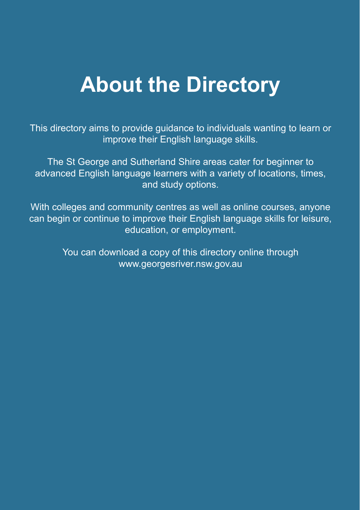## **About the Directory**

This directory aims to provide guidance to individuals wanting to learn or improve their English language skills.

The St George and Sutherland Shire areas cater for beginner to advanced English language learners with a variety of locations, times, and study options.

With colleges and community centres as well as online courses, anyone can begin or continue to improve their English language skills for leisure, education, or employment.

> You can download a copy of this directory online through www.georgesriver.nsw.gov.au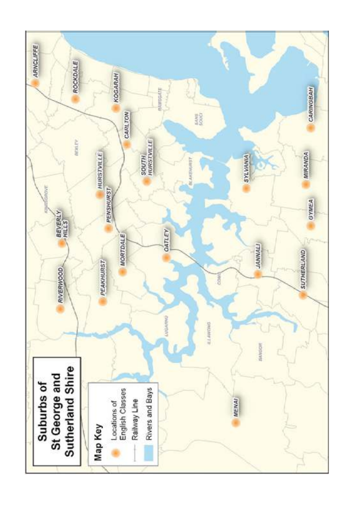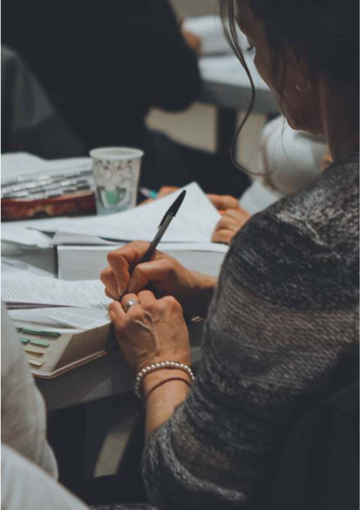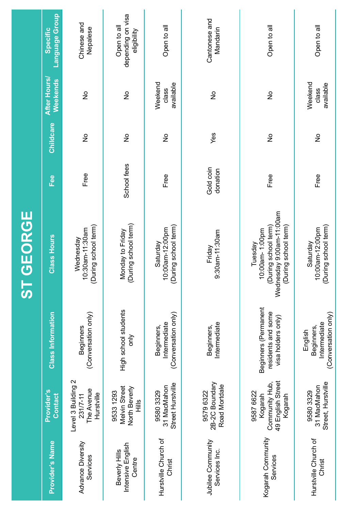|                                              |                                                                        |                                                                  | <b>ST GEORGE</b>                                                                                      |                       |           |                                 |                                                 |
|----------------------------------------------|------------------------------------------------------------------------|------------------------------------------------------------------|-------------------------------------------------------------------------------------------------------|-----------------------|-----------|---------------------------------|-------------------------------------------------|
| Provider's Name                              | Provider's<br><b>Contact</b>                                           | <b>Class Information</b>                                         | <b>Class Hours</b>                                                                                    | Fee                   | Childcare | After Hours/<br><b>Weekends</b> | Language Group<br>Specific                      |
| Advance Diversity<br>Services                | Level 3 Building 2<br>The Avenue<br>231/7-11<br>Hurstville             | (Conversation only)<br><b>Beginners</b>                          | (During school term)<br>10:30am-11:30am<br>Wednesday                                                  | Free                  | ş         | ş                               | Chinese and<br>Nepalese                         |
| Intensive English<br>Beverly Hills<br>Centre | Melvin Street<br>North Beverly<br>9533 1293<br>≝<br>⊞                  | High school students<br>only                                     | (During school term)<br>Monday to Friday                                                              | School fees           | ş         | $\frac{1}{2}$                   | depending on visa<br>Open to all<br>eligibility |
| Hurstville Church of<br>Christ               | Street Hurstville<br>31 MacMahon<br>9580 3329                          | (Conversation only)<br>Intermediate<br>Beginners,                | (During school term)<br>10:00am-12:00pm<br>Saturday                                                   | Free                  | ş         | Weekend<br>available<br>class   | Open to all                                     |
| Jubilee Community<br>Services Inc.           | 2B-2C Boundary<br>Road Mortdale<br>9579 6322                           | Intermediate<br>Beginners,                                       | 9:30am-11:30am<br>Friday                                                                              | Gold coin<br>donation | Yes       | ž                               | Cantonese and<br>Mandarin                       |
| Kogarah Community<br>Services                | Community Hub,<br>49 English Street<br>9587 6622<br>Kogarah<br>Kogarah | Beginners (Permanent<br>residents and some<br>visa holders only) | Wednesday 9:00am-11:00am<br>(During school term)<br>(During school term)<br>10:00am-1:00pm<br>Tuesday | Free                  | ž         | ş                               | Open to all                                     |
| Hurstville Church of<br>Christ               | Street, Hurstville<br>31 MacMahon<br>9580 3329                         | (Conversation only)<br>Intermediate<br>Beginners,<br>English     | (During school term)<br>10:00am-12:00pm<br>Saturday                                                   | Free                  | ž         | Weekend<br>available<br>class   | Open to all                                     |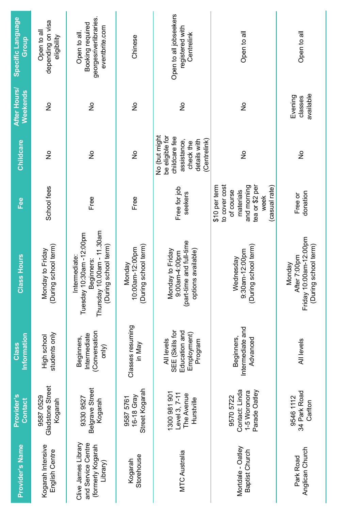| Provider's Name                                                            | Provider's<br>Contact                                        | Information<br><b>Class</b>                                              | <b>Class Hours</b>                                                                                            | Fee                                                                                                                | Childcare                                                                                                    | After Hours/<br><b>Weekends</b> | Specific Language<br>Group                                                  |
|----------------------------------------------------------------------------|--------------------------------------------------------------|--------------------------------------------------------------------------|---------------------------------------------------------------------------------------------------------------|--------------------------------------------------------------------------------------------------------------------|--------------------------------------------------------------------------------------------------------------|---------------------------------|-----------------------------------------------------------------------------|
| Kogarah Intensive<br>English Centre                                        | Gladstone Street<br>95870529<br>Kogarah                      | students only<br>High school                                             | (During school term)<br>Monday to Friday                                                                      | School fees                                                                                                        | $\frac{1}{2}$                                                                                                | ş                               | depending on visa<br>Open to all<br>eligibility                             |
| Clive James Library<br>and Service Centre<br>(formerly Kogarah<br>Library) | Belgrave Street<br>9330 9527<br>Kogarah                      | (Conversation<br>Intermediate<br>Beginners,<br>only)                     | Thursday 10.00am - 11.30am<br>Tuesday 10:30am -12:00pm<br>(During school term)<br>Intermediate:<br>Beginners: | Free                                                                                                               | ş                                                                                                            | ş                               | georgesriverlibraries.<br>Booking required<br>eventbrite.com<br>Open to all |
| Storehouse<br>Kogarah                                                      | Street Kogaral<br>$16-18$ Gray<br>9587 5761                  | Classes resuming<br>in May                                               | (During school term)<br>10:00am-12:00pm<br>Monday                                                             | Free                                                                                                               | $\frac{9}{2}$                                                                                                | $\frac{1}{2}$                   | Chinese                                                                     |
| <b>MTC Australia</b>                                                       | 1300 981 901<br>Level 3, 7-11<br>The Avenue<br>Hurstville    | SEE (Skills for<br>Education and<br>Employment)<br>All levels<br>Program | (part-time and full-time<br>Monday to Friday<br>options available)<br>9:00am-4:00pm                           | Free for job<br>seekers                                                                                            | No (but might<br>be eligible for<br>childcare fee<br>assistance,<br>details with<br>Centrelink)<br>check the | ş                               | Open to all jobseekers<br>registered with<br>Centrelink                     |
| Mortdale - Oatley<br>Baptist Church                                        | Contact: Linda<br>1-5 Woronora<br>Parade Oatley<br>9570 5722 | Intermediate and<br>Beginners,<br>Advanced                               | (During school term)<br>9:30am-12:00pm<br>Wednesday                                                           | to cover cost<br>\$10 per term<br>tea or \$2 per<br>and morning<br>(casual rate)<br>of course<br>materials<br>week | $\frac{1}{2}$                                                                                                | $\frac{1}{2}$                   | Open to all                                                                 |
| Anglican Church<br>Park Road                                               | 34 Park Road<br>9546 1112<br>Carlton                         | All levels                                                               | Friday 10:00am-12:00pm<br>(During school term)<br>After 7:00pm<br>Monday                                      | donation<br>Free or                                                                                                | ş                                                                                                            | available<br>Evening<br>classes | Open to all                                                                 |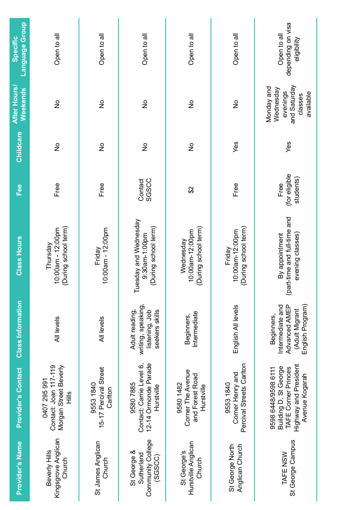| Provider's Name                                          | <b>S</b> Contact<br>Provider <sup>:</sup>                                                                      | <b>Class Information</b>                                                              | Class Hours                                                        | Fee                                | Childcare     | After Hours/<br><b>Weekends</b>                                             | <b>Language Group</b><br>Specific               |
|----------------------------------------------------------|----------------------------------------------------------------------------------------------------------------|---------------------------------------------------------------------------------------|--------------------------------------------------------------------|------------------------------------|---------------|-----------------------------------------------------------------------------|-------------------------------------------------|
| Kingsgrove Anglican<br>Beverly Hills<br>Church           | Contact: Joan 117-119<br>Morgan Street Beverly<br>0407 295 991<br>≝<br>⊞                                       | All levels                                                                            | (During school term)<br>10:00am - 12:00pm<br>Thursday              | Free                               | ž             | ž                                                                           | Open to all                                     |
| St James Anglican<br>Church                              | 15-17 Percival Street<br>9553 1840<br>Carlton                                                                  | All levels                                                                            | 10:00am - 12:00pm<br>Friday                                        | Free                               | $\frac{1}{2}$ | ž                                                                           | Open to all                                     |
| Community College<br>St George &<br>Sutherland<br>(SCSC) | 12-14 Ormonde Parade<br>Contact: Carrie Level 6,<br>95807885<br>Hurstville                                     | writing, speaking,<br>listening, Job<br>Adult reading,<br>seekers skills              | Tuesday and Wednesday<br>(During school term)<br>9:30am-1:00pm     | Contact<br>SGSCC                   | ž             | ž                                                                           | Open to all                                     |
| Hurstville Anglican<br>St George's<br>Church             | Corner The Avenue<br>and Forest Road<br>9580 1482<br>Hurstville                                                | htermediate<br>Beginners,                                                             | (During school term)<br>10:00am-12:00pm<br>Wednesday               | S                                  | ž             | $\frac{1}{2}$                                                               | Open to all                                     |
| Anglican Church<br>St George North                       | Percival Streets Carlton<br>Comer Henry and<br>9553 1840                                                       | English All levels                                                                    | (During school term)<br>10:00am-12:00pm<br>Friday                  | Free                               | Yes           | ş                                                                           | Open to all                                     |
| St George Campus<br>TAFE NSW                             | Highway and President<br>Building D, St George<br>TAFE Corner Princes<br>9598 6448/9598 6111<br>Avenue Kogarah | English Program)<br>Advanced AMEP<br>Intermediate and<br>(Adult Migrant<br>Beginners, | (part-time and full-time and<br>evening classes)<br>By appointment | (for eligible<br>students)<br>Free | Yes           | and Saturday<br>Monday and<br>Wednesday<br>evenings<br>available<br>classes | depending on visa<br>Open to all<br>eligibility |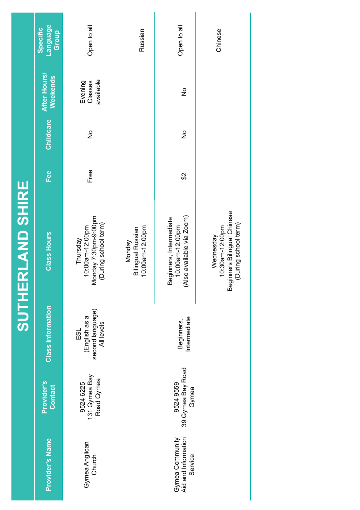|                         | Language<br><b>Specific</b><br>Group | Open to all                                                                 | Russian                                               | Open to all                                                             | Chinese                                                                             |
|-------------------------|--------------------------------------|-----------------------------------------------------------------------------|-------------------------------------------------------|-------------------------------------------------------------------------|-------------------------------------------------------------------------------------|
|                         | After Hours/<br><b>Weekends</b>      | available<br>Classes<br>Evening                                             |                                                       | $\frac{1}{2}$                                                           |                                                                                     |
|                         | Childcare                            | ş                                                                           |                                                       | ş                                                                       |                                                                                     |
|                         | Fee                                  | Free                                                                        |                                                       | \$2                                                                     |                                                                                     |
| <b>SUTHERLAND SHIRE</b> | <b>Class Hours</b>                   | Monday 7:30pm-9:00pm<br>(During school term)<br>10:00am-12:00pm<br>Thursday | 10:00am-12:00pm<br>Bilingual Russian<br><b>Monday</b> | (Also available via Zoom)<br>Beginners, Intermediate<br>10:00am-12:00pm | Beginners Bilingual Chinese<br>(During school term)<br>10:30am-12:00pm<br>Wednesday |
|                         | <b>Class Information</b>             | second language)<br>All levels<br>(English as a<br>នី<br>                   |                                                       | Intermediate<br>Beginners,                                              |                                                                                     |
|                         | Provider's<br><b>Contact</b>         | 131 Gymea Bay<br>Road Gymea<br>9524 6225                                    |                                                       | 39 Gymea Bay Road<br>Gymea<br>9524 9559                                 |                                                                                     |
|                         | Provider's Name                      | Gymea Anglican<br>Church                                                    |                                                       | Gymea Community<br>Aid and Information<br>Service                       |                                                                                     |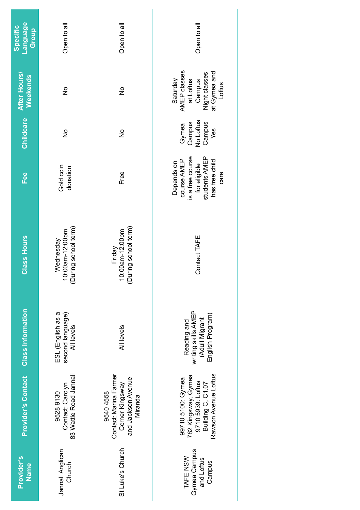| Language<br>Specific<br>Group        | Open to all                                           | Open to all                                                                             | Open to all                                                                                                |
|--------------------------------------|-------------------------------------------------------|-----------------------------------------------------------------------------------------|------------------------------------------------------------------------------------------------------------|
| After Hours/<br><b>Weekends</b>      | $\frac{1}{2}$                                         | ž                                                                                       | Saturday<br>AMEP classes<br>at Loftus<br>at Loftus<br>Wight classes<br>at Gymea and<br>at Gymea and        |
| <b>Childcare</b>                     | ş                                                     | ş                                                                                       | Gymea<br>Campus<br>No Loftus<br>Campus<br>Yes                                                              |
| Fee                                  | Gold coin<br>donation                                 | Free                                                                                    | is a free course<br>students AMEP<br>course AMEP<br>has free child<br>Depends on<br>for eligible<br>care   |
| <b>Class Hours</b>                   | (During school term)<br>10:00am-12:00pm<br>Wednesday  | (During school term)<br>Friday<br>10:00am-12:00pm                                       | Contact TAFE                                                                                               |
|                                      | ESL (English as a<br>second language)<br>All levels   | All levels                                                                              | Reading and<br>writing skills AMEP<br>(Adult Migrant<br>English Program)                                   |
| Provider's Contact Class Information | 83 Wattle Road Jannal<br>Contact: Carolyn<br>95289130 | Contact: Marina Farmer<br>and Jackson Avenue<br>Corner Kingsway<br>9540 4558<br>Miranda | 782 Kingsway, Gymea<br>9710 5939: Loftus<br>Building C, C1.07<br>Rawson Avenue Loftus<br>99710 5100: Gymea |
| Provider's<br>Name                   | Jannali Anglican<br>Church                            | St Luke's Church                                                                        | Gymea Campus<br>TAFE NSW<br>and Loftus<br>Campus                                                           |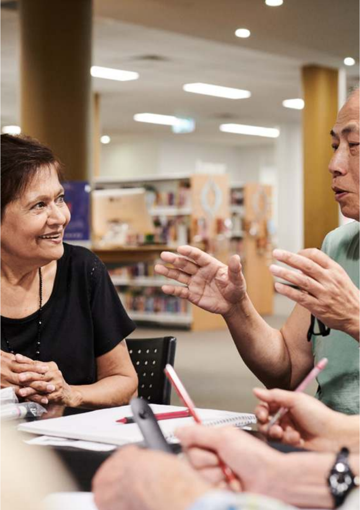